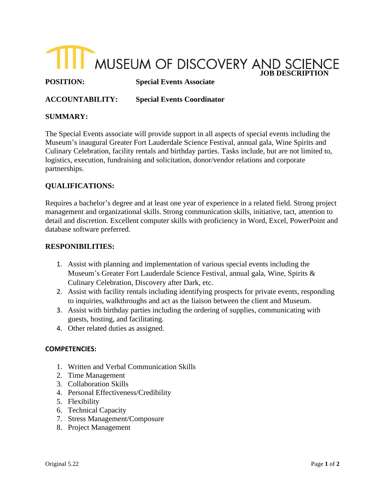

**POSITION: Special Events Associate**

**ACCOUNTABILITY: Special Events Coordinator** 

## **SUMMARY:**

The Special Events associate will provide support in all aspects of special events including the Museum's inaugural Greater Fort Lauderdale Science Festival, annual gala, Wine Spirits and Culinary Celebration, facility rentals and birthday parties. Tasks include, but are not limited to, logistics, execution, fundraising and solicitation, donor/vendor relations and corporate partnerships.

# **QUALIFICATIONS:**

Requires a bachelor's degree and at least one year of experience in a related field. Strong project management and organizational skills. Strong communication skills, initiative, tact, attention to detail and discretion. Excellent computer skills with proficiency in Word, Excel, PowerPoint and database software preferred.

## **RESPONIBILITIES:**

- 1. Assist with planning and implementation of various special events including the Museum's Greater Fort Lauderdale Science Festival, annual gala, Wine, Spirits & Culinary Celebration, Discovery after Dark, etc.
- 2. Assist with facility rentals including identifying prospects for private events, responding to inquiries, walkthroughs and act as the liaison between the client and Museum.
- 3. Assist with birthday parties including the ordering of supplies, communicating with guests, hosting, and facilitating.
- 4. Other related duties as assigned.

### **COMPETENCIES:**

- 1. Written and Verbal Communication Skills
- 2. Time Management
- 3. Collaboration Skills
- 4. Personal Effectiveness/Credibility
- 5. Flexibility
- 6. Technical Capacity
- 7. Stress Management/Composure
- 8. Project Management